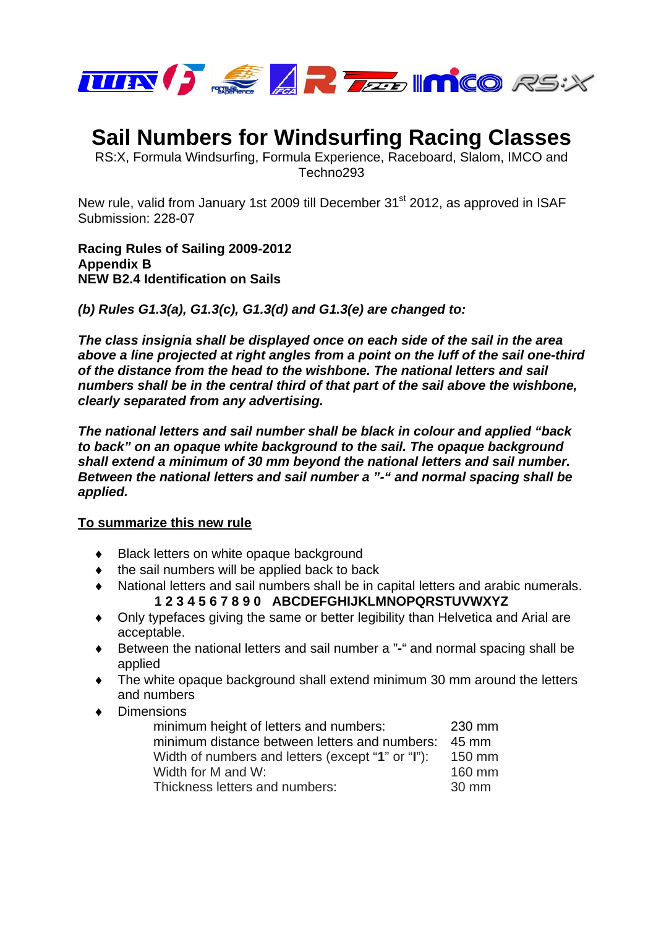

## **Sail Numbers for Windsurfing Racing Classes**

RS:X, Formula Windsurfing, Formula Experience, Raceboard, Slalom, IMCO and Techno293

New rule, valid from January 1st 2009 till December 31<sup>st</sup> 2012, as approved in ISAF Submission: 228-07

**Racing Rules of Sailing 2009-2012 Appendix B NEW B2.4 Identification on Sails** 

*(b) Rules G1.3(a), G1.3(c), G1.3(d) and G1.3(e) are changed to:* 

*The class insignia shall be displayed once on each side of the sail in the area above a line projected at right angles from a point on the luff of the sail one-third of the distance from the head to the wishbone. The national letters and sail numbers shall be in the central third of that part of the sail above the wishbone, clearly separated from any advertising.* 

*The national letters and sail number shall be black in colour and applied "back to back" on an opaque white background to the sail. The opaque background shall extend a minimum of 30 mm beyond the national letters and sail number. Between the national letters and sail number a "-" and normal spacing shall be applied.* 

## **To summarize this new rule**

- ♦ Black letters on white opaque background
- $\bullet$  the sail numbers will be applied back to back
- ♦ National letters and sail numbers shall be in capital letters and arabic numerals. **1 2 3 4 5 6 7 8 9 0 ABCDEFGHIJKLMNOPQRSTUVWXYZ**
- ♦ Only typefaces giving the same or better legibility than Helvetica and Arial are acceptable.
- ♦ Between the national letters and sail number a "**-**" and normal spacing shall be applied
- ♦ The white opaque background shall extend minimum 30 mm around the letters and numbers
- ♦ Dimensions

| minimum height of letters and numbers:            | 230 mm |
|---------------------------------------------------|--------|
| minimum distance between letters and numbers:     | 45 mm  |
| Width of numbers and letters (except "1" or "I"): | 150 mm |
| Width for M and W:                                | 160 mm |
| Thickness letters and numbers:                    | 30 mm  |